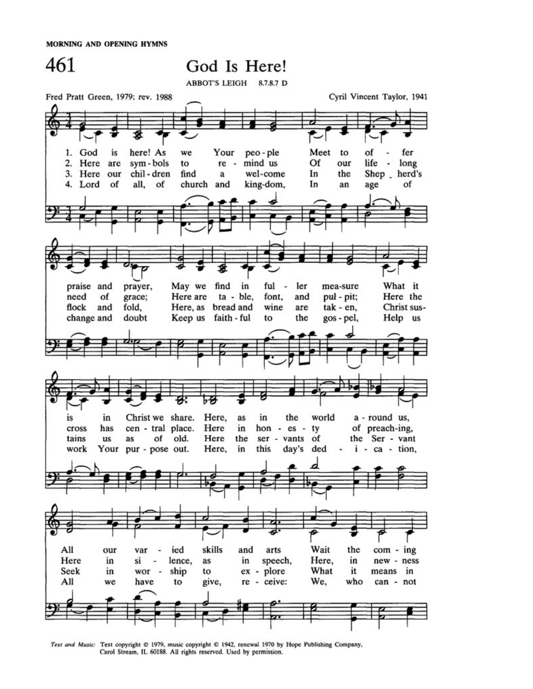MORNING AND OPENING HYMNS



Text and Music: Text copyright @ 1979, music copyright @ 1942, renewal 1970 by Hope Publishing Company, Carol Stream, IL 60188. All rights reserved. Used by permission.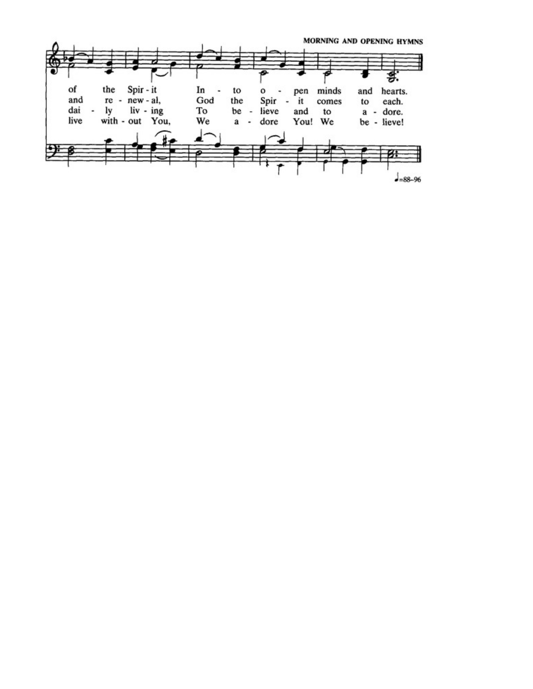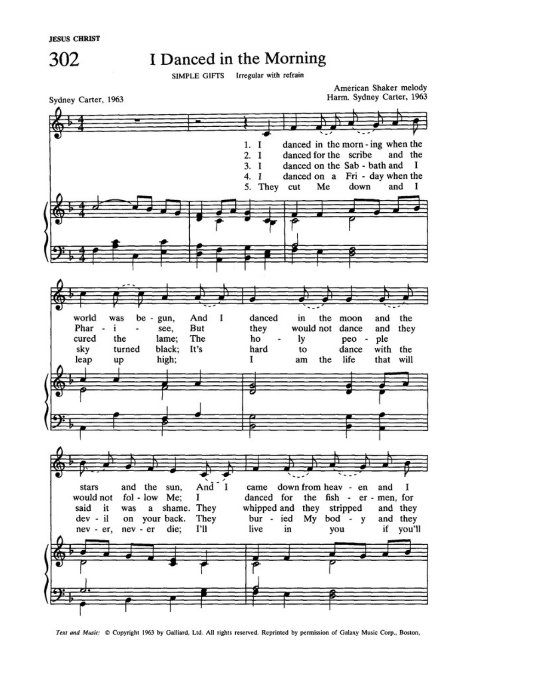302



SIMPLE GIFTS Irregular with refrain



Text and Music: Copyright 1963 by Galliard, Ltd. All rights reserved. Reprinted by permission of Galaxy Music Corp., Boston,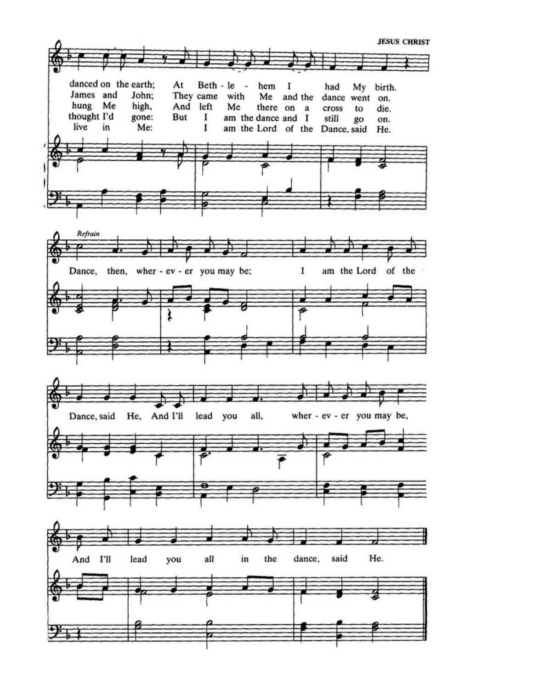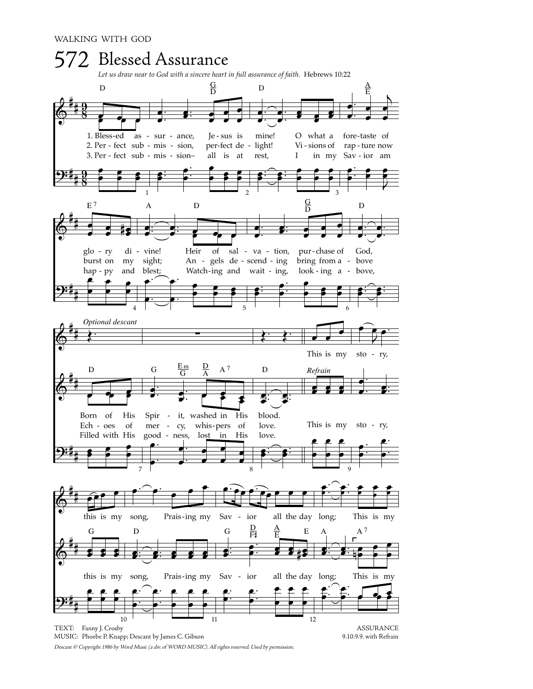

Descant © Copyright 1986 by Word Music (a div. of WORD MUSIC). All rights reserved. Used by permission.